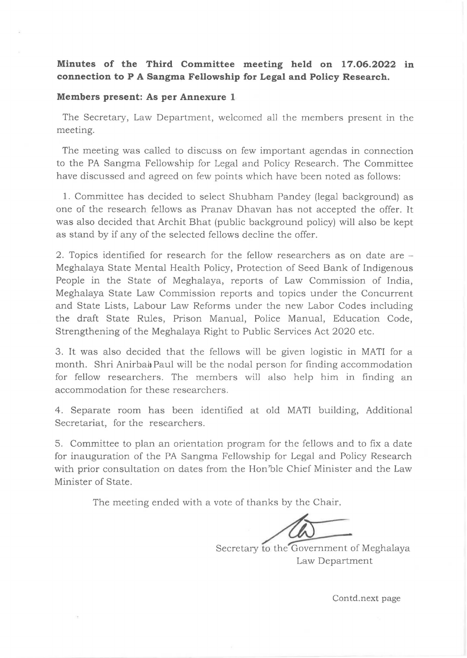## **Minutes of the Third Committee meeting held on 17.06.2022 in connection to P A Sangma Fellowship for Legal and Policy Research.**

## **Members present: As per Annexure 1**

The Secretary, Law Department, welcomed all the members present in the meeting.

The meeting was called to discuss on few important agendas in connection to the PA Sangma Fellowship for Legal and Policy Research. The Committee have discussed and agreed on few points which have been noted as follows:

1. Committee has decided to select Shubham Pandey (legal background) as one of the research fellows as Pranav Dhavan has not accepted the offer. It was also decided that Archit Bhat (public background policy) will also be kept as stand by if any of the selected fellows decline the offer.

2. Topics identified for research for the fellow researchers as on date are - Meghalaya State Mental Health Policy, Protection of Seed Bank of Indigenous People in the State of Meghalaya, reports of Law Commission of India, Meghalaya State Law Commission reports and topics under the Concurrent and State Lists, Labour Law Reforms under the new Labor Codes including the draft State Rules, Prison Manual, Police Manual, Education Code, Strengthening of the Meghalaya Right to Public Services Act 2020 etc.

3. It was also decided that the fellows will be given logistic in MATI for a month. Shri Anirbai Paul will be the nodal person for finding accommodation for fellow researchers. The members will also help him in finding an accommodation for these researchers.

4. Separate room has been identified at old MATI building, Additional Secretariat, for the researchers.

5. Committee to plan an orientation program for the fellows and to fix a date for inauguration of the PA Sangma Fellowship for Legal and Policy Research with prior consultation on dates from the Hon'ble Chief Minister and the Law Minister of State.

The meeting ended with a vote of thanks by the Chair.

Secretary to the Government of Meghalaya

Law Department

Contd.next page